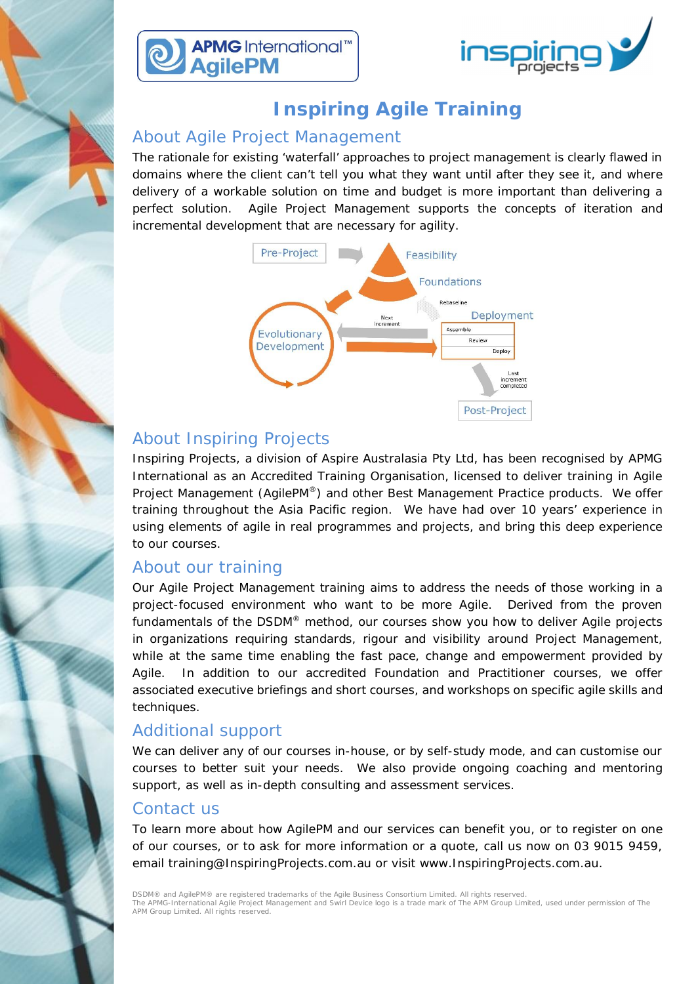



# **Inspiring Agile Training**

### About Agile Project Management

The rationale for existing 'waterfall' approaches to project management is clearly flawed in domains where the client can't tell you what they want until after they see it, and where delivery of a workable solution on time and budget is more important than delivering a perfect solution. Agile Project Management supports the concepts of iteration and incremental development that are necessary for agility.



### About Inspiring Projects

Inspiring Projects, a division of Aspire Australasia Pty Ltd, has been recognised by APMG International as an Accredited Training Organisation, licensed to deliver training in Agile Project Management (AgilePM®) and other Best Management Practice products. We offer training throughout the Asia Pacific region. We have had over 10 years' experience in using elements of agile in real programmes and projects, and bring this deep experience to our courses.

### About our training

Our Agile Project Management training aims to address the needs of those working in a project-focused environment who want to be more Agile. Derived from the proven fundamentals of the DSDM® method, our courses show you how to deliver Agile projects in organizations requiring standards, rigour and visibility around Project Management, while at the same time enabling the fast pace, change and empowerment provided by Agile. In addition to our accredited Foundation and Practitioner courses, we offer associated executive briefings and short courses, and workshops on specific agile skills and techniques.

#### Additional support

We can deliver any of our courses in-house, or by self-study mode, and can customise our courses to better suit your needs. We also provide ongoing coaching and mentoring support, as well as in-depth consulting and assessment services.

#### Contact us

To learn more about how AgilePM and our services can benefit you, or to register on one of our courses, or to ask for more information or a quote, call us now on 03 9015 9459, email training@InspiringProjects.com.au or visit www.InspiringProjects.com.au.

DSDM® and AgilePM® are registered trademarks of the Agile Business Consortium Limited. All rights reserved.<br>The APMG-International Agile Project Management and Swirl Device logo is a trade mark of The APM Group Limited, us APM Group Limited. All rights reserved.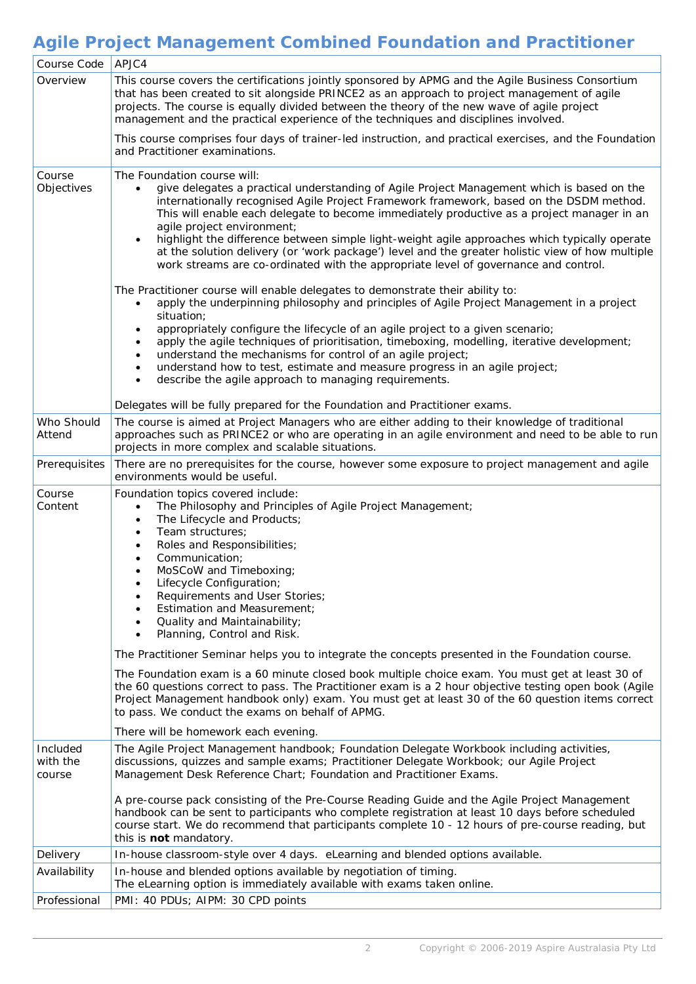## **Agile Project Management Combined Foundation and Practitioner**

| Course Code                    | APJC4                                                                                                                                                                                                                                                                                                                                                                                                                                                                                                                                                                                                                                                                  |
|--------------------------------|------------------------------------------------------------------------------------------------------------------------------------------------------------------------------------------------------------------------------------------------------------------------------------------------------------------------------------------------------------------------------------------------------------------------------------------------------------------------------------------------------------------------------------------------------------------------------------------------------------------------------------------------------------------------|
| Overview                       | This course covers the certifications jointly sponsored by APMG and the Agile Business Consortium<br>that has been created to sit alongside PRINCE2 as an approach to project management of agile<br>projects. The course is equally divided between the theory of the new wave of agile project<br>management and the practical experience of the techniques and disciplines involved.                                                                                                                                                                                                                                                                                |
|                                | This course comprises four days of trainer-led instruction, and practical exercises, and the Foundation<br>and Practitioner examinations.                                                                                                                                                                                                                                                                                                                                                                                                                                                                                                                              |
| Course<br>Objectives           | The Foundation course will:<br>give delegates a practical understanding of Agile Project Management which is based on the<br>$\bullet$<br>internationally recognised Agile Project Framework framework, based on the DSDM method.<br>This will enable each delegate to become immediately productive as a project manager in an<br>agile project environment;<br>highlight the difference between simple light-weight agile approaches which typically operate<br>$\bullet$<br>at the solution delivery (or 'work package') level and the greater holistic view of how multiple<br>work streams are co-ordinated with the appropriate level of governance and control. |
|                                | The Practitioner course will enable delegates to demonstrate their ability to:<br>apply the underpinning philosophy and principles of Agile Project Management in a project<br>$\bullet$<br>situation;<br>appropriately configure the lifecycle of an agile project to a given scenario;<br>apply the agile techniques of prioritisation, timeboxing, modelling, iterative development;<br>understand the mechanisms for control of an agile project;<br>understand how to test, estimate and measure progress in an agile project;<br>$\bullet$<br>describe the agile approach to managing requirements.<br>$\bullet$                                                 |
|                                | Delegates will be fully prepared for the Foundation and Practitioner exams.                                                                                                                                                                                                                                                                                                                                                                                                                                                                                                                                                                                            |
| Who Should<br>Attend           | The course is aimed at Project Managers who are either adding to their knowledge of traditional<br>approaches such as PRINCE2 or who are operating in an agile environment and need to be able to run<br>projects in more complex and scalable situations.                                                                                                                                                                                                                                                                                                                                                                                                             |
| Prerequisites                  | There are no prerequisites for the course, however some exposure to project management and agile<br>environments would be useful.                                                                                                                                                                                                                                                                                                                                                                                                                                                                                                                                      |
| Course<br>Content              | Foundation topics covered include:<br>The Philosophy and Principles of Agile Project Management;<br>$\bullet$<br>The Lifecycle and Products;<br>$\bullet$<br>Team structures;<br>$\bullet$<br>Roles and Responsibilities;<br>$\bullet$<br>Communication;<br>$\bullet$<br>MoSCoW and Timeboxing;<br>$\bullet$<br>Lifecycle Configuration;<br>Requirements and User Stories;<br>Estimation and Measurement;<br>Quality and Maintainability;<br>Planning, Control and Risk.<br>$\bullet$                                                                                                                                                                                  |
|                                | The Practitioner Seminar helps you to integrate the concepts presented in the Foundation course.                                                                                                                                                                                                                                                                                                                                                                                                                                                                                                                                                                       |
|                                | The Foundation exam is a 60 minute closed book multiple choice exam. You must get at least 30 of<br>the 60 questions correct to pass. The Practitioner exam is a 2 hour objective testing open book (Agile<br>Project Management handbook only) exam. You must get at least 30 of the 60 question items correct<br>to pass. We conduct the exams on behalf of APMG.                                                                                                                                                                                                                                                                                                    |
|                                | There will be homework each evening.                                                                                                                                                                                                                                                                                                                                                                                                                                                                                                                                                                                                                                   |
| Included<br>with the<br>course | The Agile Project Management handbook; Foundation Delegate Workbook including activities,<br>discussions, quizzes and sample exams; Practitioner Delegate Workbook; our Agile Project<br>Management Desk Reference Chart; Foundation and Practitioner Exams.                                                                                                                                                                                                                                                                                                                                                                                                           |
|                                | A pre-course pack consisting of the Pre-Course Reading Guide and the Agile Project Management<br>handbook can be sent to participants who complete registration at least 10 days before scheduled<br>course start. We do recommend that participants complete 10 - 12 hours of pre-course reading, but<br>this is not mandatory.                                                                                                                                                                                                                                                                                                                                       |
| Delivery                       | In-house classroom-style over 4 days. eLearning and blended options available.                                                                                                                                                                                                                                                                                                                                                                                                                                                                                                                                                                                         |
| Availability                   | In-house and blended options available by negotiation of timing.<br>The eLearning option is immediately available with exams taken online.                                                                                                                                                                                                                                                                                                                                                                                                                                                                                                                             |
| Professional                   | PMI: 40 PDUs; AIPM: 30 CPD points                                                                                                                                                                                                                                                                                                                                                                                                                                                                                                                                                                                                                                      |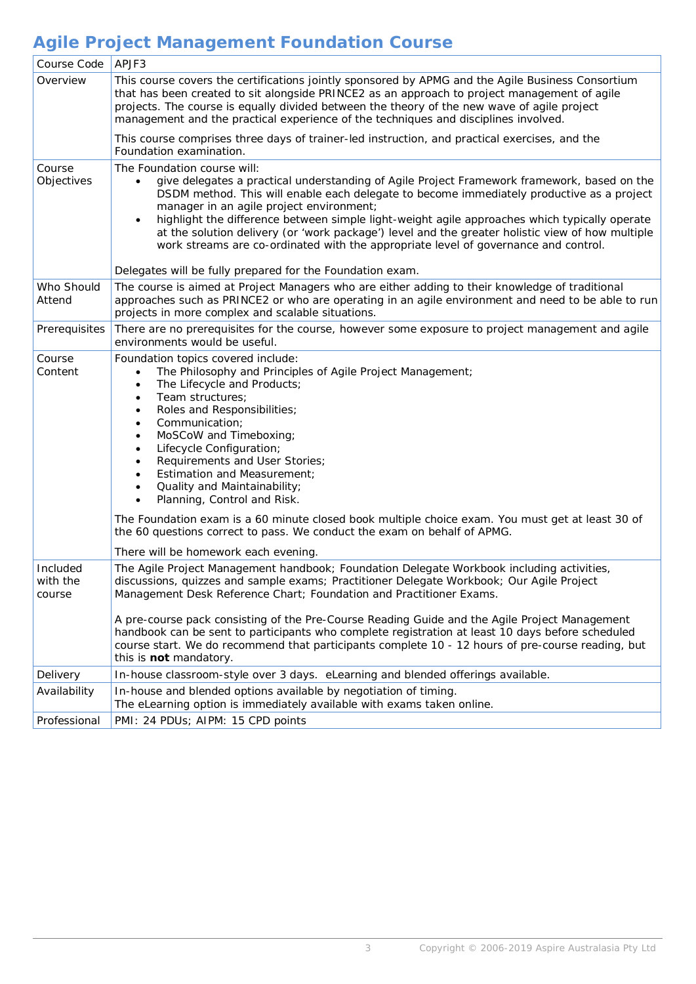# **Agile Project Management Foundation Course**

| Course Code                    | APJF3                                                                                                                                                                                                                                                                                                                                                                                                                                                                                                                                                                                                                                                                                    |
|--------------------------------|------------------------------------------------------------------------------------------------------------------------------------------------------------------------------------------------------------------------------------------------------------------------------------------------------------------------------------------------------------------------------------------------------------------------------------------------------------------------------------------------------------------------------------------------------------------------------------------------------------------------------------------------------------------------------------------|
| Overview                       | This course covers the certifications jointly sponsored by APMG and the Agile Business Consortium<br>that has been created to sit alongside PRINCE2 as an approach to project management of agile<br>projects. The course is equally divided between the theory of the new wave of agile project<br>management and the practical experience of the techniques and disciplines involved.                                                                                                                                                                                                                                                                                                  |
|                                | This course comprises three days of trainer-led instruction, and practical exercises, and the<br>Foundation examination.                                                                                                                                                                                                                                                                                                                                                                                                                                                                                                                                                                 |
| Course<br>Objectives           | The Foundation course will:<br>give delegates a practical understanding of Agile Project Framework framework, based on the<br>$\bullet$<br>DSDM method. This will enable each delegate to become immediately productive as a project<br>manager in an agile project environment;<br>highlight the difference between simple light-weight agile approaches which typically operate<br>at the solution delivery (or 'work package') level and the greater holistic view of how multiple<br>work streams are co-ordinated with the appropriate level of governance and control.                                                                                                             |
|                                | Delegates will be fully prepared for the Foundation exam.                                                                                                                                                                                                                                                                                                                                                                                                                                                                                                                                                                                                                                |
| Who Should<br>Attend           | The course is aimed at Project Managers who are either adding to their knowledge of traditional<br>approaches such as PRINCE2 or who are operating in an agile environment and need to be able to run<br>projects in more complex and scalable situations.                                                                                                                                                                                                                                                                                                                                                                                                                               |
| Prerequisites                  | There are no prerequisites for the course, however some exposure to project management and agile<br>environments would be useful.                                                                                                                                                                                                                                                                                                                                                                                                                                                                                                                                                        |
| Course<br>Content              | Foundation topics covered include:<br>The Philosophy and Principles of Agile Project Management;<br>$\bullet$<br>The Lifecycle and Products;<br>$\bullet$<br>Team structures;<br>Roles and Responsibilities;<br>Communication;<br>٠<br>MoSCoW and Timeboxing;<br>Lifecycle Configuration;<br>$\bullet$<br>Requirements and User Stories;<br>Estimation and Measurement;<br>Quality and Maintainability;<br>$\bullet$<br>Planning, Control and Risk.<br>$\bullet$<br>The Foundation exam is a 60 minute closed book multiple choice exam. You must get at least 30 of<br>the 60 questions correct to pass. We conduct the exam on behalf of APMG.<br>There will be homework each evening. |
| Included<br>with the<br>course | The Agile Project Management handbook; Foundation Delegate Workbook including activities,<br>discussions, quizzes and sample exams; Practitioner Delegate Workbook; Our Agile Project<br>Management Desk Reference Chart; Foundation and Practitioner Exams.<br>A pre-course pack consisting of the Pre-Course Reading Guide and the Agile Project Management<br>handbook can be sent to participants who complete registration at least 10 days before scheduled<br>course start. We do recommend that participants complete 10 - 12 hours of pre-course reading, but<br>this is not mandatory.                                                                                         |
| Delivery                       | In-house classroom-style over 3 days. eLearning and blended offerings available.                                                                                                                                                                                                                                                                                                                                                                                                                                                                                                                                                                                                         |
| Availability                   | In-house and blended options available by negotiation of timing.<br>The eLearning option is immediately available with exams taken online.                                                                                                                                                                                                                                                                                                                                                                                                                                                                                                                                               |
| Professional                   | PMI: 24 PDUs; AIPM: 15 CPD points                                                                                                                                                                                                                                                                                                                                                                                                                                                                                                                                                                                                                                                        |